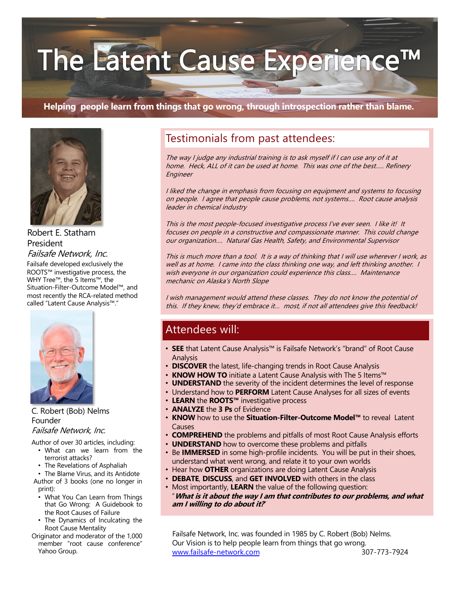# The Latent Cause Experience

#### **Helping people learn from things that go wrong, through introspection rather than blame.**



Robert E. Statham President Failsafe Network, Inc.

Failsafe developed exclusively the ROOTS™ investigative process, the WHY Tree™, the 5 Items™, the Situation-Filter-Outcome Model™, and most recently the RCA-related method called "Latent Cause Analysis™."



C. Robert (Bob) Nelms Founder Failsafe Network, Inc.

Author of over 30 articles, including:

- What can we learn from the terrorist attacks?
- The Revelations of Asphaliah

• The Blame Virus, and its Antidote Author of 3 books (one no longer in print):

- What You Can Learn from Things that Go Wrong: A Guidebook to the Root Causes of Failure
- The Dynamics of Inculcating the Root Cause Mentality

Originator and moderator of the 1,000 member "root cause conference" Yahoo Group.

## Testimonials from past attendees:

The way I judge any industrial training is to ask myself if I can use any of it at home. Heck, ALL of it can be used at home. This was one of the best….. Refinery Engineer

I liked the change in emphasis from focusing on equipment and systems to focusing on people. I agree that people cause problems, not systems…. Root cause analysis leader in chemical industry

This is the most people-focused investigative process I've ever seen. I like it! It focuses on people in a constructive and compassionate manner. This could change our organization…. Natural Gas Health, Safety, and Environmental Supervisor

This is much more than a tool. It is a way of thinking that I will use wherever I work, as well as at home. I came into the class thinking one way, and left thinking another. I wish everyone in our organization could experience this class.... Maintenance mechanic on Alaska's North Slope

I wish management would attend these classes. They do not know the potential of this. If they knew, they'd embrace it… most, if not all attendees give this feedback!

### Attendees will:

- **SEE** that Latent Cause Analysis™ is Failsafe Network's "brand" of Root Cause Analysis
- **DISCOVER** the latest, life-changing trends in Root Cause Analysis
- **KNOW HOW TO** initiate a Latent Cause Analysis with The 5 Items™
- **UNDERSTAND** the severity of the incident determines the level of response
- Understand how to **PERFORM** Latent Cause Analyses for all sizes of events
- **LEARN** the **ROOTS™** investigative process
- **ANALYZE** the **3 Ps** of Evidence
- **KNOW** how to use the **Situation-Filter-Outcome Model™** to reveal Latent Causes
- **COMPREHEND** the problems and pitfalls of most Root Cause Analysis efforts
- **UNDERSTAND** how to overcome these problems and pitfalls
- Be **IMMERSED** in some high-profile incidents. You will be put in their shoes, understand what went wrong, and relate it to your own worlds
- Hear how **OTHER** organizations are doing Latent Cause Analysis
- **DEBATE**, **DISCUSS**, and **GET INVOLVED** with others in the class
- Most importantly, **LEARN** the value of the following question: "**What is it about the way I am that contributes to our problems, and what am I willing to do about it?**"

Failsafe Network, Inc. was founded in 1985 by C. Robert (Bob) Nelms. Our Vision is to help people learn from things that go wrong. [www.failsafe-network.co](http://www.failsafe-network.com/)m 307-773-7924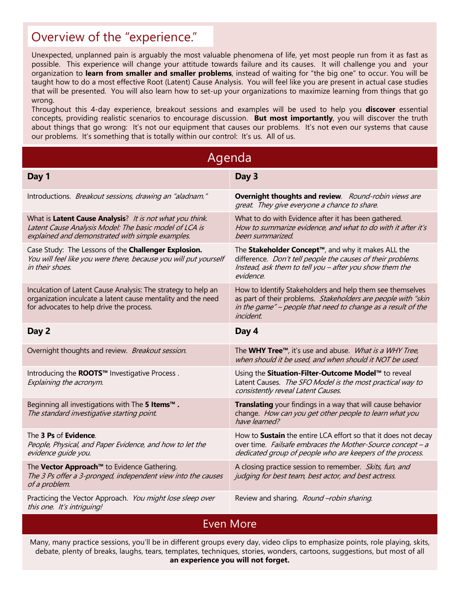## Overview of the "experience."

Unexpected, unplanned pain is arguably the most valuable phenomena of life, yet most people run from it as fast as possible. This experience will change your attitude towards failure and its causes. It will challenge you and your organization to **learn from smaller and smaller problems**, instead of waiting for "the big one" to occur. You will be taught how to do a most effective Root (Latent) Cause Analysis. You will feel like you are present in actual case studies that will be presented. You will also learn how to set-up your organizations to maximize learning from things that go wrong.

Throughout this 4-day experience, breakout sessions and examples will be used to help you **discover** essential concepts, providing realistic scenarios to encourage discussion. **But most importantly**, you will discover the truth about things that go wrong: It's not our equipment that causes our problems. It's not even our systems that cause our problems. It's something that is totally within our control: It's us. All of us.

| Agenda                                                                                                                                                                    |                                                                                                                                                                                                                |  |
|---------------------------------------------------------------------------------------------------------------------------------------------------------------------------|----------------------------------------------------------------------------------------------------------------------------------------------------------------------------------------------------------------|--|
| Day 1                                                                                                                                                                     | Day 3                                                                                                                                                                                                          |  |
| Introductions. Breakout sessions, drawing an "aladnam."                                                                                                                   | Overnight thoughts and review. Round-robin views are<br>great. They give everyone a chance to share.                                                                                                           |  |
| What is Latent Cause Analysis? It is not what you think.<br>Latent Cause Analysis Model: The basic model of LCA is<br>explained and demonstrated with simple examples.    | What to do with Evidence after it has been gathered.<br>How to summarize evidence, and what to do with it after it's<br>been summarized.                                                                       |  |
| Case Study: The Lessons of the Challenger Explosion.<br>You will feel like you were there, because you will put yourself<br>in their shoes.                               | The Stakeholder Concept <sup>™</sup> , and why it makes ALL the<br>difference. Don't tell people the causes of their problems.<br>Instead, ask them to tell you - after you show them the<br>evidence.         |  |
| Inculcation of Latent Cause Analysis: The strategy to help an<br>organization inculcate a latent cause mentality and the need<br>for advocates to help drive the process. | How to Identify Stakeholders and help them see themselves<br>as part of their problems. Stakeholders are people with "skin<br>in the game" - people that need to change as a result of the<br><i>incident.</i> |  |
| Day 2                                                                                                                                                                     | Day 4                                                                                                                                                                                                          |  |
| Overnight thoughts and review. Breakout session.                                                                                                                          | The WHY Tree <sup>TM</sup> , it's use and abuse. <i>What is a WHY Tree,</i><br>when should it be used, and when should it NOT be used.                                                                         |  |
| Introducing the ROOTS™ Investigative Process.<br>Explaining the acronym.                                                                                                  | Using the Situation-Filter-Outcome Model™ to reveal<br>Latent Causes. The SFO Model is the most practical way to<br>consistently reveal Latent Causes.                                                         |  |
| Beginning all investigations with The 5 Items <sup>™</sup> .<br>The standard investigative starting point.                                                                | <b>Translating</b> your findings in a way that will cause behavior<br>change. How can you get other people to learn what you<br>have learned?                                                                  |  |
| The 3 Ps of Evidence.<br>People, Physical, and Paper Evidence, and how to let the<br>evidence quide you.                                                                  | How to Sustain the entire LCA effort so that it does not decay<br>over time. Failsafe embraces the Mother-Source concept - a<br>dedicated group of people who are keepers of the process.                      |  |
| The Vector Approach™ to Evidence Gathering.<br>The 3 Ps offer a 3-pronged, independent view into the causes<br>of a problem.                                              | A closing practice session to remember. Skits, fun, and<br>judging for best team, best actor, and best actress.                                                                                                |  |
| Practicing the Vector Approach. You might lose sleep over<br>this one. It's intriguing!                                                                                   | Review and sharing. Round -robin sharing.                                                                                                                                                                      |  |

Even More

Many, many practice sessions, you'll be in different groups every day, video clips to emphasize points, role playing, skits, debate, plenty of breaks, laughs, tears, templates, techniques, stories, wonders, cartoons, suggestions, but most of all **an experience you will not forget.**